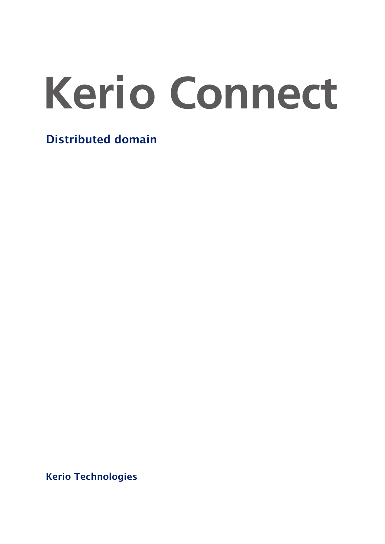# **Kerio Connect**

Distributed domain

Kerio Technologies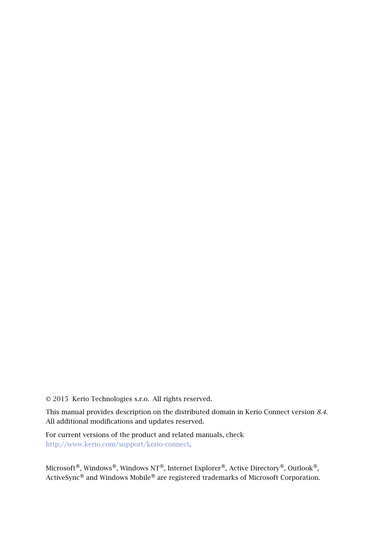2015 Kerio Technologies s.r.o. All rights reserved.

This manual provides description on the distributed domain in Kerio Connect version *8.4*. All additional modifications and updates reserved.

For current versions of the product and related manuals, check [http://www.kerio.com/support/kerio-connect.](http://www.kerio.com/support/kerio-connect)

Microsoft®, Windows®, Windows NT®, Internet Explorer®, Active Directory®, Outlook®, ActiveSync<sup>®</sup> and Windows Mobile<sup>®</sup> are registered trademarks of Microsoft Corporation.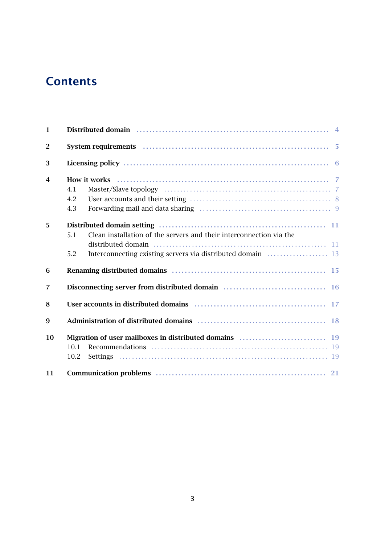# **Contents**

| $\mathbf{1}$   | Distributed domain material contact and the set of the set of the set of the set of the set of the set of the s |  |  |  |  |
|----------------|-----------------------------------------------------------------------------------------------------------------|--|--|--|--|
| $\overline{2}$ | System requirements <i>manufactured contained and manufactured</i> manufactured and 5                           |  |  |  |  |
| 3              |                                                                                                                 |  |  |  |  |
| 4              | 4.1                                                                                                             |  |  |  |  |
|                | 4.2<br>4.3                                                                                                      |  |  |  |  |
| 5              | Clean installation of the servers and their interconnection via the<br>5.1                                      |  |  |  |  |
|                | 5.2                                                                                                             |  |  |  |  |
| 6              |                                                                                                                 |  |  |  |  |
| $\overline{7}$ | Disconnecting server from distributed domain [16] Disconnecting server from distributed domain [16]             |  |  |  |  |
| 8              |                                                                                                                 |  |  |  |  |
| 9              |                                                                                                                 |  |  |  |  |
| 10             | 10.1<br>10.2                                                                                                    |  |  |  |  |
| 11             |                                                                                                                 |  |  |  |  |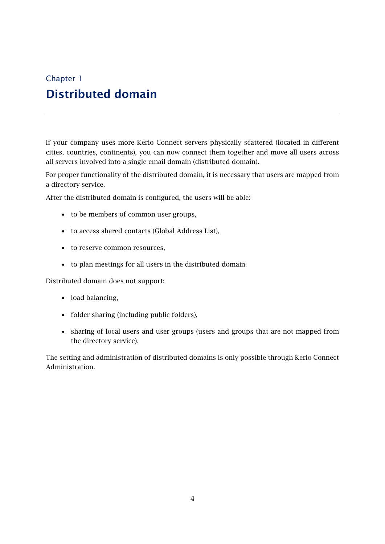# <span id="page-3-0"></span>Chapter 1 Distributed domain

If your company uses more Kerio Connect servers physically scattered (located in different cities, countries, continents), you can now connect them together and move all users across all servers involved into a single email domain (distributed domain).

For proper functionality of the distributed domain, it is necessary that users are mapped from a directory service.

After the distributed domain is configured, the users will be able:

- to be members of common user groups,
- to access shared contacts (Global Address List),
- to reserve common resources,
- to plan meetings for all users in the distributed domain.

Distributed domain does not support:

- load balancing,
- folder sharing (including public folders),
- sharing of local users and user groups (users and groups that are not mapped from the directory service).

The setting and administration of distributed domains is only possible through Kerio Connect Administration.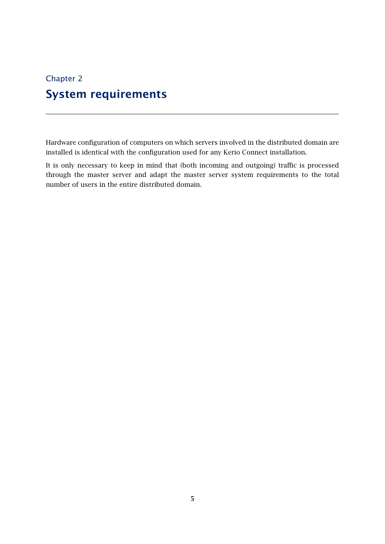# <span id="page-4-0"></span>Chapter 2 System requirements

Hardware configuration of computers on which servers involved in the distributed domain are installed is identical with the configuration used for any Kerio Connect installation.

It is only necessary to keep in mind that (both incoming and outgoing) traffic is processed through the master server and adapt the master server system requirements to the total number of users in the entire distributed domain.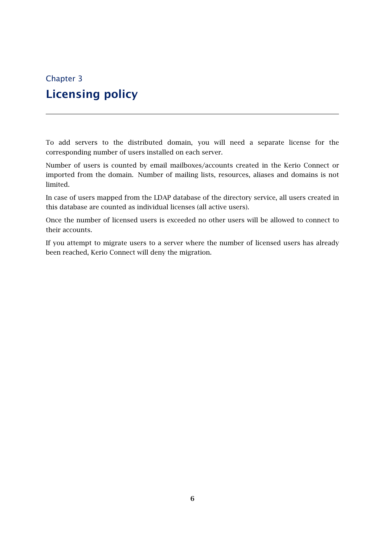# <span id="page-5-0"></span>Chapter 3 Licensing policy

To add servers to the distributed domain, you will need a separate license for the corresponding number of users installed on each server.

Number of users is counted by email mailboxes/accounts created in the Kerio Connect or imported from the domain. Number of mailing lists, resources, aliases and domains is not limited.

In case of users mapped from the LDAP database of the directory service, all users created in this database are counted as individual licenses (all active users).

Once the number of licensed users is exceeded no other users will be allowed to connect to their accounts.

If you attempt to migrate users to a server where the number of licensed users has already been reached, Kerio Connect will deny the migration.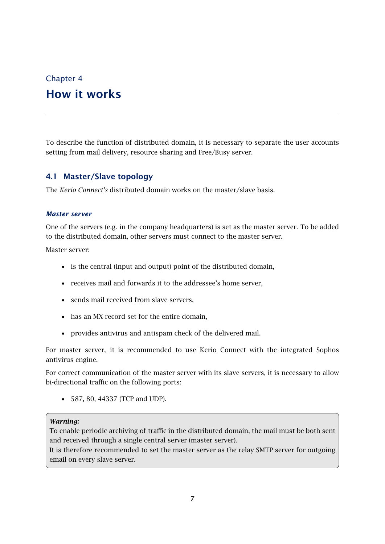## <span id="page-6-0"></span>Chapter 4 How it works

To describe the function of distributed domain, it is necessary to separate the user accounts setting from mail delivery, resource sharing and Free/Busy server.

## 4.1 Master/Slave topology

The *Kerio Connect's* distributed domain works on the master/slave basis.

#### *Master server*

One of the servers (e.g. in the company headquarters) is set as the master server. To be added to the distributed domain, other servers must connect to the master server.

Master server:

- is the central (input and output) point of the distributed domain,
- receives mail and forwards it to the addressee's home server,
- sends mail received from slave servers,
- has an MX record set for the entire domain,
- provides antivirus and antispam check of the delivered mail.

For master server, it is recommended to use Kerio Connect with the integrated Sophos antivirus engine.

For correct communication of the master server with its slave servers, it is necessary to allow bi-directional traffic on the following ports:

• 587, 80, 44337 (TCP and UDP).

#### *Warning:*

To enable periodic archiving of traffic in the distributed domain, the mail must be both sent and received through a single central server (master server).

It is therefore recommended to set the master server as the relay SMTP server for outgoing email on every slave server.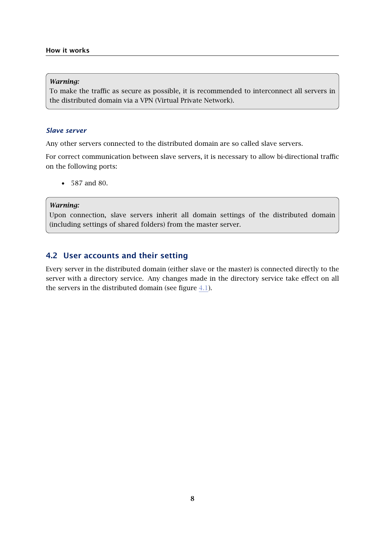#### <span id="page-7-0"></span>*Warning:*

To make the traffic as secure as possible, it is recommended to interconnect all servers in the distributed domain via a VPN (Virtual Private Network).

#### *Slave server*

Any other servers connected to the distributed domain are so called slave servers.

For correct communication between slave servers, it is necessary to allow bi-directional traffic on the following ports:

• 587 and 80.

#### *Warning:*

Upon connection, slave servers inherit all domain settings of the distributed domain (including settings of shared folders) from the master server.

### 4.2 User accounts and their setting

Every server in the distributed domain (either slave or the master) is connected directly to the server with a directory service. Any changes made in the directory service take effect on all the servers in the distributed domain (see figure [4.1](#page-8-0)).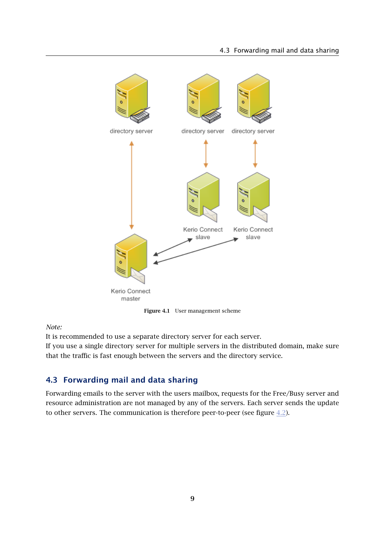<span id="page-8-0"></span>

Figure 4.1 User management scheme

*Note:*

It is recommended to use a separate directory server for each server.

If you use a single directory server for multiple servers in the distributed domain, make sure that the traffic is fast enough between the servers and the directory service.

## 4.3 Forwarding mail and data sharing

Forwarding emails to the server with the users mailbox, requests for the Free/Busy server and resource administration are not managed by any of the servers. Each server sends the update to other servers. The communication is therefore peer-to-peer (see figure  $4.2$ ).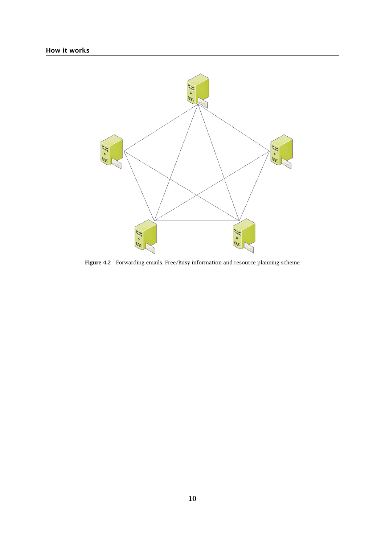<span id="page-9-0"></span>

Figure 4.2 Forwarding emails, Free/Busy information and resource planning scheme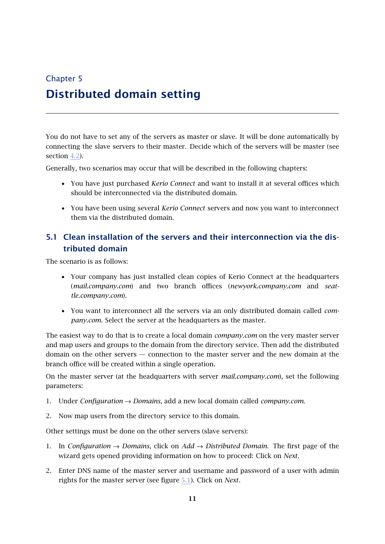# <span id="page-10-0"></span>Chapter 5 Distributed domain setting

You do not have to set any of the servers as master or slave. It will be done automatically by connecting the slave servers to their master. Decide which of the servers will be master (see section [4.2](#page-7-0)).

Generally, two scenarios may occur that will be described in the following chapters:

- You have just purchased *Kerio Connect* and want to install it at several offices which should be interconnected via the distributed domain.
- You have been using several *Kerio Connect* servers and now you want to interconnect them via the distributed domain.

## 5.1 Clean installation of the servers and their interconnection via the distributed domain

The scenario is as follows:

- Your company has just installed clean copies of Kerio Connect at the headquarters (*mail.company.com*) and two branch offices (*newyork.company.com* and *seattle.company.com*).
- You want to interconnect all the servers via an only distributed domain called *company.com*. Select the server at the headquarters as the master.

The easiest way to do that is to create a local domain *company.com* on the very master server and map users and groups to the domain from the directory service. Then add the distributed domain on the other servers — connection to the master server and the new domain at the branch office will be created within a single operation.

On the master server (at the headquarters with server *mail.company.com*), set the following parameters:

- 1. Under *Configuration* → *Domains*, add a new local domain called *company.com*.
- 2. Now map users from the directory service to this domain.

Other settings must be done on the other servers (slave servers):

- 1. In *Configuration*  $\rightarrow$  *Domains*, click on *Add*  $\rightarrow$  *Distributed Domain*. The first page of the wizard gets opened providing information on how to proceed: Click on *Next*.
- 2. Enter DNS name of the master server and username and password of a user with admin rights for the master server (see figure [5.1](#page-11-0)). Click on *Next*.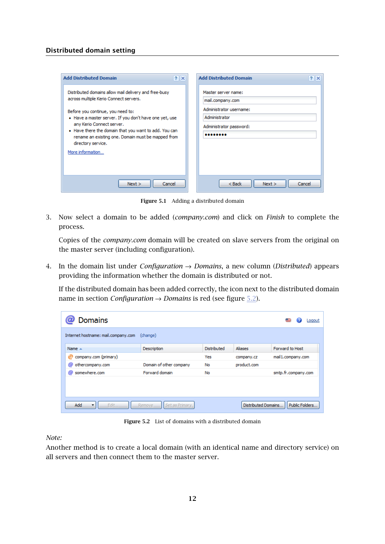#### <span id="page-11-0"></span>Distributed domain setting

| <b>Add Distributed Domain</b>                                                                                                                                                                                                                                 | <b>Add Distributed Domain</b>                                           |
|---------------------------------------------------------------------------------------------------------------------------------------------------------------------------------------------------------------------------------------------------------------|-------------------------------------------------------------------------|
| $?$ $\times$                                                                                                                                                                                                                                                  | ?  X                                                                    |
| Distributed domains allow mail delivery and free-busy                                                                                                                                                                                                         | Master server name:                                                     |
| across multiple Kerio Connect servers.                                                                                                                                                                                                                        | mail.company.com                                                        |
| Before you continue, you need to:<br>• Have a master server. If you don't have one yet, use<br>any Kerio Connect server.<br>• Have there the domain that you want to add. You can<br>rename an existing one. Domain must be mapped from<br>directory service. | Administrator username:<br>Administrator<br>Administrator password:<br> |
| More information                                                                                                                                                                                                                                              | $<$ Back                                                                |
| Cancel                                                                                                                                                                                                                                                        | Next >                                                                  |
| Next >                                                                                                                                                                                                                                                        | Cancel                                                                  |

Figure 5.1 Adding a distributed domain

3. Now select a domain to be added (*company.com*) and click on *Finish* to complete the process.

Copies of the *company.com* domain will be created on slave servers from the original on the master server (including configuration).

4. In the domain list under *Configuration* → *Domains*, a new column (*Distributed*) appears providing the information whether the domain is distributed or not.

If the distributed domain has been added correctly, the icon next to the distributed domain name in section *Configuration* → *Domains* is red (see figure 5.2).

| <b>Domains</b><br>Logout                                                                |                         |             |                |                     |  |  |
|-----------------------------------------------------------------------------------------|-------------------------|-------------|----------------|---------------------|--|--|
| Internet hostname: mail.company.com<br>(change)                                         |                         |             |                |                     |  |  |
| Name $\triangle$                                                                        | Description             | Distributed | <b>Aliases</b> | Forward to Host     |  |  |
| company.com (primary)<br>©                                                              |                         | Yes         | company.cz     | mail1.company.com   |  |  |
| @<br>othercompany.com                                                                   | Domain of other company | No          | product.com    |                     |  |  |
| somewhere.com<br>@                                                                      | Forward domain          | No          |                | smtp.fr.company.com |  |  |
|                                                                                         |                         |             |                |                     |  |  |
| Public Folders<br>Add<br>Distributed Domains<br>Edit<br>Set as Primary<br><b>Remove</b> |                         |             |                |                     |  |  |

Figure 5.2 List of domains with a distributed domain

*Note:*

Another method is to create a local domain (with an identical name and directory service) on all servers and then connect them to the master server.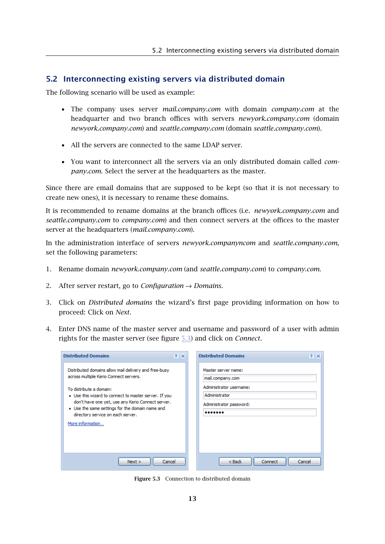#### <span id="page-12-0"></span>5.2 Interconnecting existing servers via distributed domain

The following scenario will be used as example:

- The company uses server *mail.company.com* with domain *company.com* at the headquarter and two branch offices with servers *newyork.company.com* (domain *newyork.company.com*) and *seattle.company.com* (domain *seattle.company.com*).
- All the servers are connected to the same LDAP server.
- You want to interconnect all the servers via an only distributed domain called *company.com*. Select the server at the headquarters as the master.

Since there are email domains that are supposed to be kept (so that it is not necessary to create new ones), it is necessary to rename these domains.

It is recommended to rename domains at the branch offices (i.e. *newyork.company.com* and *seattle.company.com* to *company.com*) and then connect servers at the offices to the master server at the headquarters (*mail.company.com*).

In the administration interface of servers *newyork.companyncom* and *seattle.company.com*, set the following parameters:

- 1. Rename domain *newyork.company.com* (and *seattle.company.com*) to *company.com*.
- 2. After server restart, go to *Configuration* → *Domains*.
- 3. Click on *Distributed domains* the wizard's first page providing information on how to proceed: Click on *Next*.
- 4. Enter DNS name of the master server and username and password of a user with admin rights for the master server (see figure 5.3) and click on *Connect*.

| <b>Distributed Domains</b>                                                                                                                | <b>Distributed Domains</b><br> ? X       | $?$ $\times$ |
|-------------------------------------------------------------------------------------------------------------------------------------------|------------------------------------------|--------------|
| Distributed domains allow mail delivery and free-busy<br>across multiple Kerio Connect servers.                                           | Master server name:<br>mail.company.com  |              |
| To distribute a domain:<br>• Use this wizard to connect to master server. If you                                                          | Administrator username:<br>Administrator |              |
| don't have one yet, use any Kerio Connect server.<br>• Use the same settings for the domain name and<br>directory service on each server. | Administrator password:<br>              |              |
| More information                                                                                                                          |                                          |              |
|                                                                                                                                           |                                          |              |
| Cancel<br>Next >                                                                                                                          | $Back$<br>Connect                        | Cancel       |

Figure 5.3 Connection to distributed domain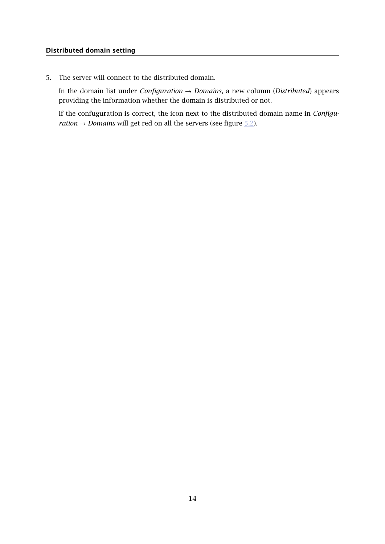#### Distributed domain setting

5. The server will connect to the distributed domain.

In the domain list under *Configuration* → *Domains*, a new column (*Distributed*) appears providing the information whether the domain is distributed or not.

If the confuguration is correct, the icon next to the distributed domain name in *Configuration*  $\rightarrow$  *Domains* will get red on all the servers (see figure  $5.2$ ).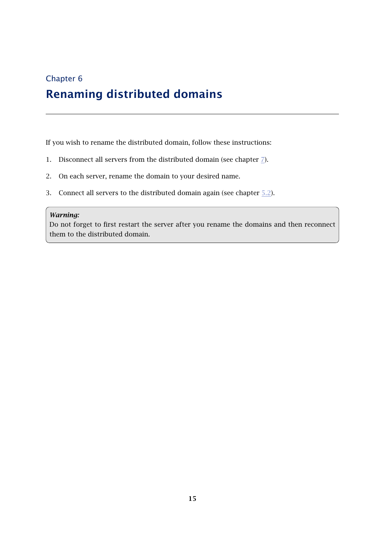# <span id="page-14-0"></span>Chapter 6 Renaming distributed domains

If you wish to rename the distributed domain, follow these instructions:

- 1. Disconnect all servers from the distributed domain (see chapter  $\mathbb{Z}$ ).
- 2. On each server, rename the domain to your desired name.
- 3. Connect all servers to the distributed domain again (see chapter [5.2](#page-12-0)).

#### *Warning:*

Do not forget to first restart the server after you rename the domains and then reconnect them to the distributed domain.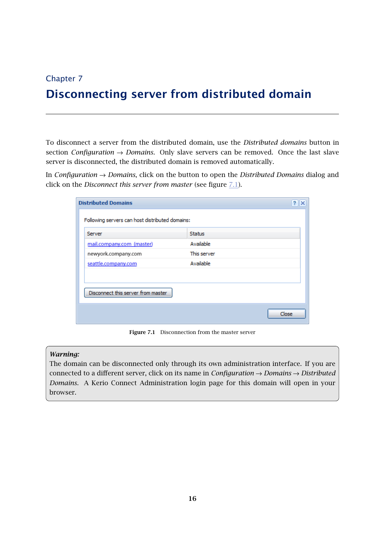## <span id="page-15-0"></span>Chapter 7

# Disconnecting server from distributed domain

To disconnect a server from the distributed domain, use the *Distributed domains* button in section *Configuration* → *Domains*. Only slave servers can be removed. Once the last slave server is disconnected, the distributed domain is removed automatically.

In *Configuration* → *Domains*, click on the button to open the *Distributed Domains* dialog and click on the *Disconnect this server from master* (see figure 7.1).

| Server                             | <b>Status</b> |  |
|------------------------------------|---------------|--|
| mail.company.com (master)          | Available     |  |
| newyork.company.com                | This server   |  |
| seattle.company.com                | Available     |  |
|                                    |               |  |
| Disconnect this server from master |               |  |

Figure 7.1 Disconnection from the master server

#### *Warning:*

The domain can be disconnected only through its own administration interface. If you are connected to a different server, click on its name in *Configuration* → *Domains* → *Distributed Domains*. A Kerio Connect Administration login page for this domain will open in your browser.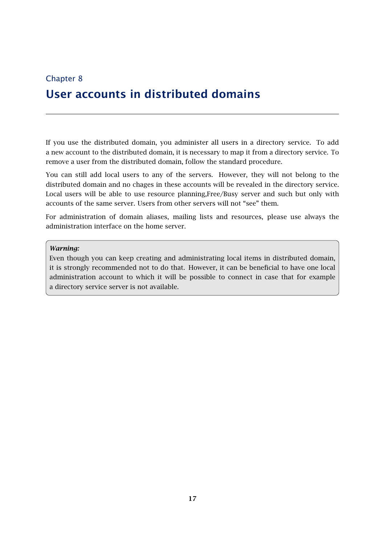# <span id="page-16-0"></span>Chapter 8 User accounts in distributed domains

If you use the distributed domain, you administer all users in a directory service. To add a new account to the distributed domain, it is necessary to map it from a directory service. To remove a user from the distributed domain, follow the standard procedure.

You can still add local users to any of the servers. However, they will not belong to the distributed domain and no chages in these accounts will be revealed in the directory service. Local users will be able to use resource planning,Free/Busy server and such but only with accounts of the same server. Users from other servers will not "see" them.

For administration of domain aliases, mailing lists and resources, please use always the administration interface on the home server.

#### *Warning:*

Even though you can keep creating and administrating local items in distributed domain, it is strongly recommended not to do that. However, it can be beneficial to have one local administration account to which it will be possible to connect in case that for example a directory service server is not available.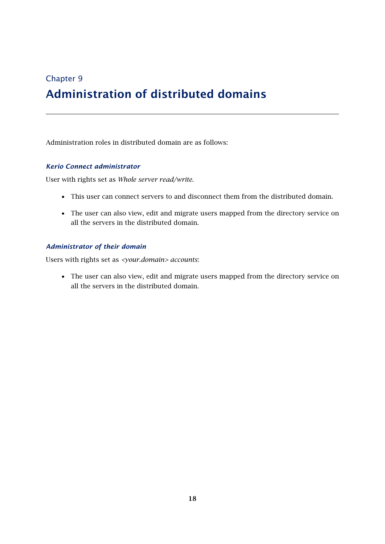## <span id="page-17-0"></span>Chapter 9

# Administration of distributed domains

Administration roles in distributed domain are as follows:

## *Kerio Connect administrator*

User with rights set as *Whole server read/write*.

- This user can connect servers to and disconnect them from the distributed domain.
- The user can also view, edit and migrate users mapped from the directory service on all the servers in the distributed domain.

#### *Administrator of their domain*

Users with rights set as *<your.domain> accounts*:

• The user can also view, edit and migrate users mapped from the directory service on all the servers in the distributed domain.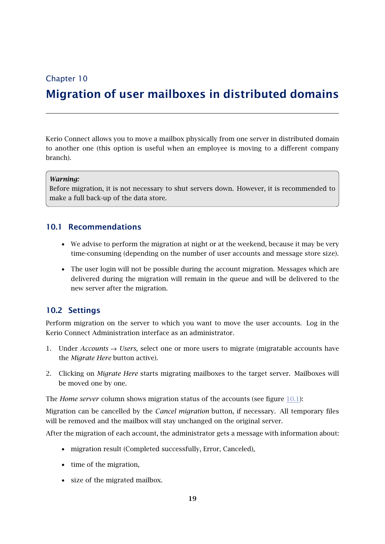## <span id="page-18-0"></span>Chapter 10

## Migration of user mailboxes in distributed domains

Kerio Connect allows you to move a mailbox physically from one server in distributed domain to another one (this option is useful when an employee is moving to a different company branch).

#### *Warning:*

Before migration, it is not necessary to shut servers down. However, it is recommended to make a full back-up of the data store.

## 10.1 Recommendations

- We advise to perform the migration at night or at the weekend, because it may be very time-consuming (depending on the number of user accounts and message store size).
- The user login will not be possible during the account migration. Messages which are delivered during the migration will remain in the queue and will be delivered to the new server after the migration.

## 10.2 Settings

Perform migration on the server to which you want to move the user accounts. Log in the Kerio Connect Administration interface as an administrator.

- 1. Under *Accounts* → *Users*, select one or more users to migrate (migratable accounts have the *Migrate Here* button active).
- 2. Clicking on *Migrate Here* starts migrating mailboxes to the target server. Mailboxes will be moved one by one.

The *Home server* column shows migration status of the accounts (see figure [10.1](#page-19-0)):

Migration can be cancelled by the *Cancel migration* button, if necessary. All temporary files will be removed and the mailbox will stay unchanged on the original server.

After the migration of each account, the administrator gets a message with information about:

- migration result (Completed successfully, Error, Canceled),
- time of the migration,
- size of the migrated mailbox.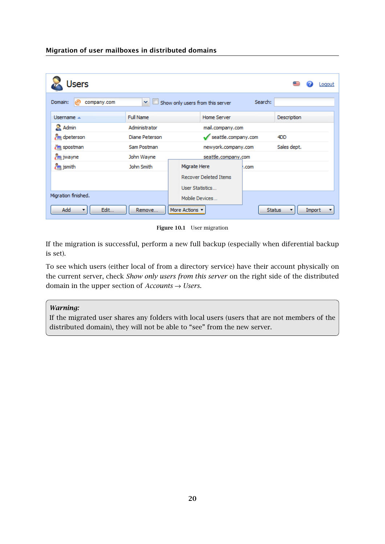<span id="page-19-0"></span>Migration of user mailboxes in distributed domains

| Users                       |                                   |  |                                  |                     | Logout             |        |  |
|-----------------------------|-----------------------------------|--|----------------------------------|---------------------|--------------------|--------|--|
| Domain:<br>company.com<br>ര | ×                                 |  | Show only users from this server | Search:             |                    |        |  |
| Username $\triangle$        | <b>Full Name</b>                  |  | <b>Home Server</b>               |                     | <b>Description</b> |        |  |
| <b>Admin</b>                | Administrator<br>mail.company.com |  |                                  |                     |                    |        |  |
| dpeterson                   | Diane Peterson                    |  |                                  | seattle.company.com |                    |        |  |
| spostman                    | Sam Postman                       |  |                                  | newyork.company.com |                    |        |  |
| jwayne                      | John Wayne                        |  | seattle.company.com              |                     |                    |        |  |
| $\frac{1}{2}$ jsmith        | John Smith                        |  | Migrate Here                     | .com                |                    |        |  |
|                             |                                   |  | <b>Recover Deleted Items</b>     |                     |                    |        |  |
|                             |                                   |  | User Statistics                  |                     |                    |        |  |
| Migration finished.         |                                   |  | Mobile Devices                   |                     |                    |        |  |
| Add<br>Edit<br>Remove       |                                   |  | More Actions v                   |                     | <b>Status</b>      | Import |  |

Figure 10.1 User migration

If the migration is successful, perform a new full backup (especially when diferential backup is set).

To see which users (either local of from a directory service) have their account physically on the current server, check *Show only users from this server* on the right side of the distributed domain in the upper section of *Accounts* → *Users*.

#### *Warning:*

If the migrated user shares any folders with local users (users that are not members of the distributed domain), they will not be able to "see" from the new server.